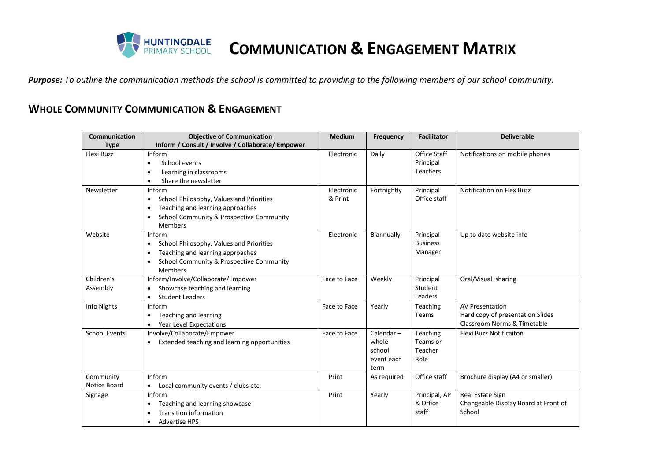

**COMMUNICATION & ENGAGEMENT MATRIX**

*Purpose: To outline the communication methods the school is committed to providing to the following members of our school community.*

## **WHOLE COMMUNITY COMMUNICATION & ENGAGEMENT**

| Communication        | <b>Objective of Communication</b>                     | <b>Medium</b> | Frequency    | <b>Facilitator</b>  | <b>Deliverable</b>                   |
|----------------------|-------------------------------------------------------|---------------|--------------|---------------------|--------------------------------------|
| <b>Type</b>          | Inform / Consult / Involve / Collaborate/ Empower     |               |              |                     |                                      |
| Flexi Buzz           | Inform                                                | Electronic    | Daily        | <b>Office Staff</b> | Notifications on mobile phones       |
|                      | School events<br>$\bullet$                            |               |              | Principal           |                                      |
|                      | Learning in classrooms<br>$\bullet$                   |               |              | <b>Teachers</b>     |                                      |
|                      | Share the newsletter<br>$\bullet$                     |               |              |                     |                                      |
| Newsletter           | Inform                                                | Electronic    | Fortnightly  | Principal           | <b>Notification on Flex Buzz</b>     |
|                      | School Philosophy, Values and Priorities<br>٠         | & Print       |              | Office staff        |                                      |
|                      | Teaching and learning approaches                      |               |              |                     |                                      |
|                      | School Community & Prospective Community<br>$\bullet$ |               |              |                     |                                      |
|                      | <b>Members</b>                                        |               |              |                     |                                      |
| Website              | Inform                                                | Electronic    | Biannually   | Principal           | Up to date website info              |
|                      | School Philosophy, Values and Priorities<br>٠         |               |              | <b>Business</b>     |                                      |
|                      | Teaching and learning approaches<br>٠                 |               |              | Manager             |                                      |
|                      | School Community & Prospective Community              |               |              |                     |                                      |
|                      | <b>Members</b>                                        |               |              |                     |                                      |
| Children's           | Inform/Involve/Collaborate/Empower                    | Face to Face  | Weekly       | Principal           | Oral/Visual sharing                  |
| Assembly             | Showcase teaching and learning                        |               |              | Student             |                                      |
|                      | <b>Student Leaders</b>                                |               |              | Leaders             |                                      |
| Info Nights          | Inform                                                | Face to Face  | Yearly       | Teaching            | <b>AV Presentation</b>               |
|                      | Teaching and learning                                 |               |              | Teams               | Hard copy of presentation Slides     |
|                      | Year Level Expectations                               |               |              |                     | Classroom Norms & Timetable          |
| <b>School Events</b> | Involve/Collaborate/Empower                           | Face to Face  | Calendar $-$ | Teaching            | Flexi Buzz Notificaiton              |
|                      | Extended teaching and learning opportunities          |               | whole        | Teams or            |                                      |
|                      |                                                       |               | school       | Teacher             |                                      |
|                      |                                                       |               | event each   | Role                |                                      |
|                      |                                                       |               | term         |                     |                                      |
| Community            | Inform                                                | Print         | As required  | Office staff        | Brochure display (A4 or smaller)     |
| Notice Board         | Local community events / clubs etc.<br>$\bullet$      |               |              |                     |                                      |
| Signage              | Inform                                                | Print         | Yearly       | Principal, AP       | Real Estate Sign                     |
|                      | Teaching and learning showcase                        |               |              | & Office            | Changeable Display Board at Front of |
|                      | <b>Transition information</b>                         |               |              | staff               | School                               |
|                      | <b>Advertise HPS</b><br>٠                             |               |              |                     |                                      |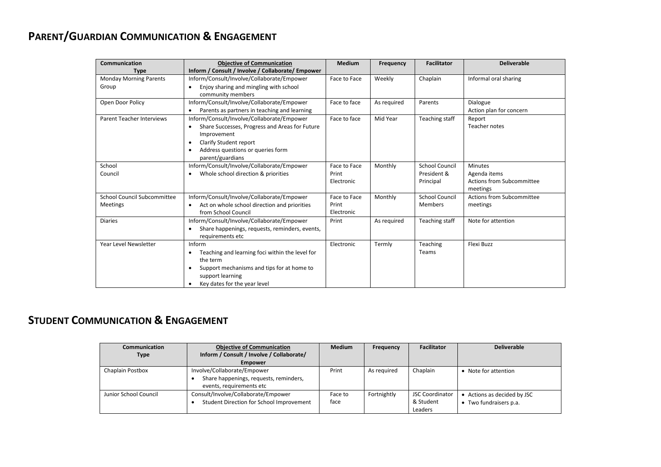## **PARENT/GUARDIAN COMMUNICATION & ENGAGEMENT**

| Communication<br><b>Objective of Communication</b> |                                                                  | <b>Medium</b> | Frequency   | <b>Facilitator</b>    | <b>Deliverable</b>               |
|----------------------------------------------------|------------------------------------------------------------------|---------------|-------------|-----------------------|----------------------------------|
| <b>Type</b>                                        | Inform / Consult / Involve / Collaborate/ Empower                |               |             |                       |                                  |
| <b>Monday Morning Parents</b>                      | Inform/Consult/Involve/Collaborate/Empower                       | Face to Face  | Weekly      | Chaplain              | Informal oral sharing            |
| Group                                              | Enjoy sharing and mingling with school<br>$\bullet$              |               |             |                       |                                  |
|                                                    | community members                                                |               |             |                       |                                  |
| Open Door Policy                                   | Inform/Consult/Involve/Collaborate/Empower                       | Face to face  | As required | Parents               | Dialogue                         |
|                                                    | Parents as partners in teaching and learning                     |               |             |                       | Action plan for concern          |
| <b>Parent Teacher Interviews</b>                   | Inform/Consult/Involve/Collaborate/Empower                       | Face to face  | Mid Year    | Teaching staff        | Report                           |
|                                                    | Share Successes, Progress and Areas for Future<br>$\bullet$      |               |             |                       | Teacher notes                    |
|                                                    | Improvement                                                      |               |             |                       |                                  |
|                                                    | Clarify Student report                                           |               |             |                       |                                  |
|                                                    | Address questions or queries form                                |               |             |                       |                                  |
|                                                    | parent/guardians                                                 |               |             |                       |                                  |
| School                                             | Inform/Consult/Involve/Collaborate/Empower                       | Face to Face  | Monthly     | School Council        | <b>Minutes</b>                   |
| Council                                            | Whole school direction & priorities<br>٠                         | Print         |             | President &           | Agenda items                     |
|                                                    |                                                                  | Electronic    |             | Principal             | Actions from Subcommittee        |
|                                                    |                                                                  |               |             |                       | meetings                         |
| <b>School Council Subcommittee</b>                 | Inform/Consult/Involve/Collaborate/Empower                       | Face to Face  | Monthly     | <b>School Council</b> | <b>Actions from Subcommittee</b> |
| <b>Meetings</b>                                    | Act on whole school direction and priorities<br>$\bullet$        | Print         |             | <b>Members</b>        | meetings                         |
|                                                    | from School Council                                              | Electronic    |             |                       |                                  |
| <b>Diaries</b>                                     | Inform/Consult/Involve/Collaborate/Empower                       | Print         | As required | Teaching staff        | Note for attention               |
|                                                    | Share happenings, requests, reminders, events,                   |               |             |                       |                                  |
| Year Level Newsletter                              | requirements etc<br>Inform                                       | Electronic    | Termly      | Teaching              | Flexi Buzz                       |
|                                                    |                                                                  |               |             | Teams                 |                                  |
|                                                    | Teaching and learning foci within the level for<br>٠<br>the term |               |             |                       |                                  |
|                                                    | Support mechanisms and tips for at home to                       |               |             |                       |                                  |
|                                                    | support learning                                                 |               |             |                       |                                  |
|                                                    | Key dates for the year level                                     |               |             |                       |                                  |
|                                                    |                                                                  |               |             |                       |                                  |

## **STUDENT COMMUNICATION & ENGAGEMENT**

| <b>Communication</b>  | <b>Objective of Communication</b>         | <b>Medium</b> | Frequency   | <b>Facilitator</b>     | <b>Deliverable</b>          |
|-----------------------|-------------------------------------------|---------------|-------------|------------------------|-----------------------------|
| Type                  | Inform / Consult / Involve / Collaborate/ |               |             |                        |                             |
|                       | <b>Empower</b>                            |               |             |                        |                             |
| Chaplain Postbox      | Involve/Collaborate/Empower               | Print         | As required | Chaplain               | • Note for attention        |
|                       | Share happenings, requests, reminders,    |               |             |                        |                             |
|                       | events, requirements etc                  |               |             |                        |                             |
| Junior School Council | Consult/Involve/Collaborate/Empower       | Face to       | Fortnightly | <b>JSC Coordinator</b> | • Actions as decided by JSC |
|                       | Student Direction for School Improvement  | face          |             | & Student              | • Two fundraisers p.a.      |
|                       |                                           |               |             | Leaders                |                             |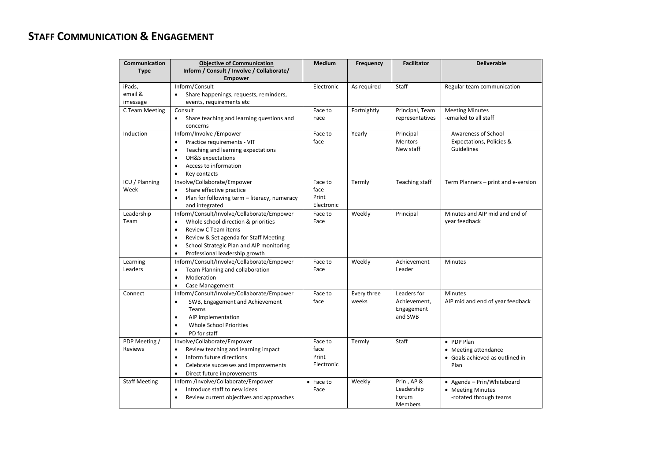## **STAFF COMMUNICATION & ENGAGEMENT**

| Communication        | <b>Objective of Communication</b>                                  | <b>Medium</b> | Frequency   | <b>Facilitator</b> | <b>Deliverable</b>                  |
|----------------------|--------------------------------------------------------------------|---------------|-------------|--------------------|-------------------------------------|
| <b>Type</b>          | Inform / Consult / Involve / Collaborate/                          |               |             |                    |                                     |
|                      | <b>Empower</b>                                                     |               |             |                    |                                     |
| iPads,               | Inform/Consult                                                     | Electronic    | As required | Staff              | Regular team communication          |
| email &              | Share happenings, requests, reminders,                             |               |             |                    |                                     |
| imessage             | events, requirements etc                                           |               |             |                    |                                     |
| C Team Meeting       | Consult                                                            | Face to       | Fortnightly | Principal, Team    | <b>Meeting Minutes</b>              |
|                      | Share teaching and learning questions and<br>$\bullet$<br>concerns | Face          |             | representatives    | -emailed to all staff               |
| Induction            | Inform/Involve /Empower                                            | Face to       | Yearly      | Principal          | Awareness of School                 |
|                      | Practice requirements - VIT                                        | face          |             | <b>Mentors</b>     | Expectations, Policies &            |
|                      | Teaching and learning expectations<br>$\bullet$                    |               |             | New staff          | Guidelines                          |
|                      | OH&S expectations<br>$\bullet$                                     |               |             |                    |                                     |
|                      | Access to information<br>٠                                         |               |             |                    |                                     |
|                      | Key contacts<br>$\bullet$                                          |               |             |                    |                                     |
| ICU / Planning       | Involve/Collaborate/Empower                                        | Face to       | Termly      | Teaching staff     | Term Planners - print and e-version |
| Week                 | Share effective practice<br>$\bullet$                              | face          |             |                    |                                     |
|                      | Plan for following term - literacy, numeracy<br>$\bullet$          | Print         |             |                    |                                     |
|                      | and integrated                                                     | Electronic    |             |                    |                                     |
| Leadership           | Inform/Consult/Involve/Collaborate/Empower                         | Face to       | Weekly      | Principal          | Minutes and AIP mid and end of      |
| Team                 | Whole school direction & priorities                                | Face          |             |                    | year feedback                       |
|                      | Review C Team items<br>$\bullet$                                   |               |             |                    |                                     |
|                      | Review & Set agenda for Staff Meeting<br>$\bullet$                 |               |             |                    |                                     |
|                      | School Strategic Plan and AIP monitoring<br>$\bullet$              |               |             |                    |                                     |
|                      | Professional leadership growth<br>$\bullet$                        |               |             |                    |                                     |
| Learning             | Inform/Consult/Involve/Collaborate/Empower                         | Face to       | Weekly      | Achievement        | Minutes                             |
| Leaders              | Team Planning and collaboration<br>$\bullet$                       | Face          |             | Leader             |                                     |
|                      | Moderation                                                         |               |             |                    |                                     |
|                      | Case Management<br>$\bullet$                                       |               |             |                    |                                     |
| Connect              | Inform/Consult/Involve/Collaborate/Empower                         | Face to       | Every three | Leaders for        | <b>Minutes</b>                      |
|                      | SWB, Engagement and Achievement<br>$\bullet$                       | face          | weeks       | Achievement,       | AIP mid and end of year feedback    |
|                      | Teams                                                              |               |             | Engagement         |                                     |
|                      | AIP implementation<br>$\bullet$                                    |               |             | and SWB            |                                     |
|                      | <b>Whole School Priorities</b><br>$\bullet$                        |               |             |                    |                                     |
|                      | PD for staff<br>$\bullet$                                          |               |             |                    |                                     |
| PDP Meeting /        | Involve/Collaborate/Empower                                        | Face to       | Termly      | Staff              | • PDP Plan                          |
| <b>Reviews</b>       | Review teaching and learning impact<br>$\bullet$                   | face          |             |                    | • Meeting attendance                |
|                      | Inform future directions<br>$\bullet$                              | Print         |             |                    | • Goals achieved as outlined in     |
|                      | Celebrate successes and improvements<br>$\bullet$                  | Electronic    |             |                    | Plan                                |
|                      | Direct future improvements<br>$\bullet$                            |               |             |                    |                                     |
| <b>Staff Meeting</b> | Inform /Involve/Collaborate/Empower                                | • Face to     | Weekly      | Prin, AP &         | • Agenda - Prin/Whiteboard          |
|                      | Introduce staff to new ideas<br>$\bullet$                          | Face          |             | Leadership         | • Meeting Minutes                   |
|                      | Review current objectives and approaches<br>$\bullet$              |               |             | Forum              | -rotated through teams              |
|                      |                                                                    |               |             | Members            |                                     |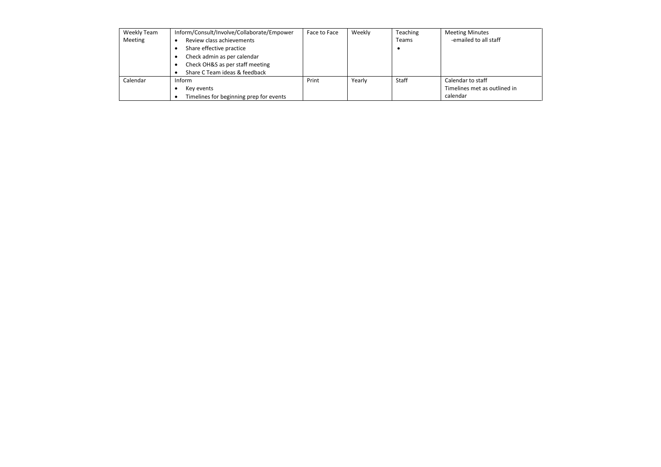| Weekly Team | Inform/Consult/Involve/Collaborate/Empower | Face to Face | Weekly | Teaching | <b>Meeting Minutes</b>       |
|-------------|--------------------------------------------|--------------|--------|----------|------------------------------|
| Meeting     | Review class achievements                  |              |        | Teams    | -emailed to all staff        |
|             | Share effective practice                   |              |        |          |                              |
|             | Check admin as per calendar                |              |        |          |                              |
|             | Check OH&S as per staff meeting            |              |        |          |                              |
|             | Share C Team ideas & feedback              |              |        |          |                              |
| Calendar    | Inform                                     | Print        | Yearly | Staff    | Calendar to staff            |
|             | Key events                                 |              |        |          | Timelines met as outlined in |
|             | Timelines for beginning prep for events    |              |        |          | calendar                     |